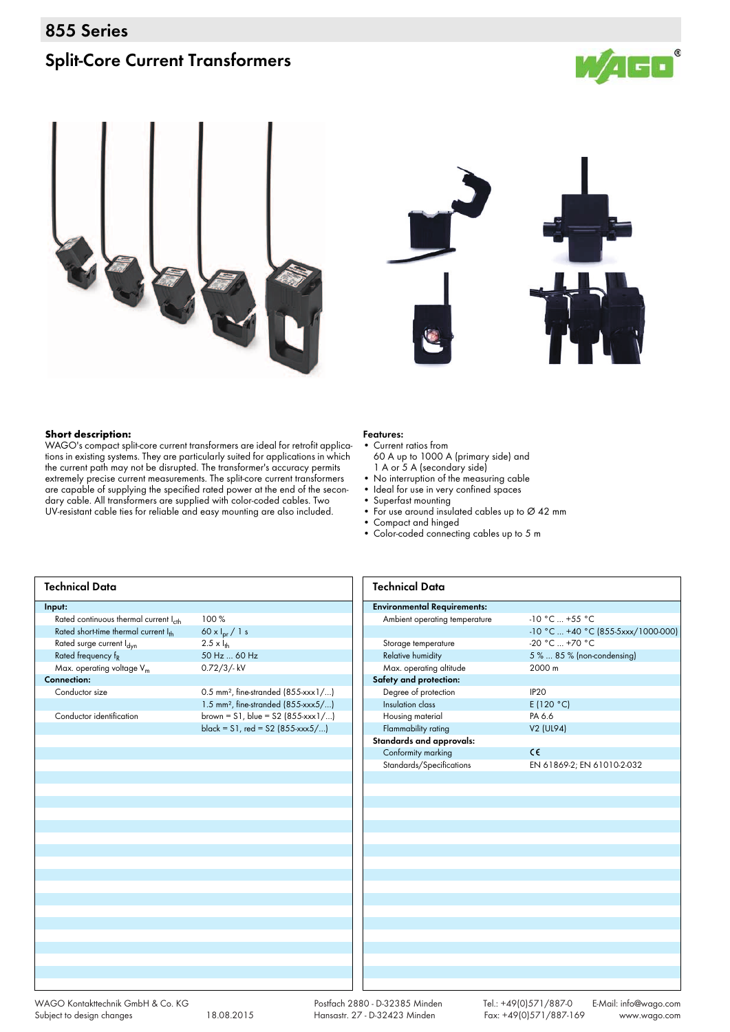### 855 Series

## **Split-Core Current Transformers**







#### Short description:

WAGO's compact split-core current transformers are ideal for retrofit applications in existing systems. They are particularly suited for applications in which the current path may not be disrupted. The transformer's accuracy permits extremely precise current measurements. The split-core current transformers are capable of supplying the specified rated power at the end of the secondary cable. All transformers are supplied with color-coded cables. Two UV-resistant cable ties for reliable and easy mounting are also included.

#### **Features:**

- Current ratios from
- 60 A up to 1000 A (primary side) and 1 A or 5 A (secondary side)
- No interruption of the measuring cable<br>• Ideal for use in yery confined spaces
- Ideal for use in very confined spaces<br>• Superfast mounting
- Superfast mounting
- For use around insulated cables up to  $\varnothing$  42 mm<br>• Compact and binged
- Compact and hinged
- Color-coded connecting cables up to 5 m

| <b>Technical Data</b>                 |                                                     |  |  |  |
|---------------------------------------|-----------------------------------------------------|--|--|--|
| Input:                                |                                                     |  |  |  |
| Rated continuous thermal current Icth | 100%                                                |  |  |  |
| Rated short-time thermal current Ith  | 60 x $I_{\rm pr}$ / 1 s                             |  |  |  |
| Rated surge current l <sub>dyn</sub>  | $2.5 \times I_{th}$                                 |  |  |  |
| Rated frequency f <sub>R</sub>        | 50 Hz  60 Hz                                        |  |  |  |
| Max. operating voltage V <sub>m</sub> | $0.72/3$ /-kV                                       |  |  |  |
| <b>Connection:</b>                    |                                                     |  |  |  |
| Conductor size                        | $0.5$ mm <sup>2</sup> , fine-stranded $(855-xxx1/)$ |  |  |  |
|                                       | 1.5 mm <sup>2</sup> , fine-stranded (855-xxx5/)     |  |  |  |
| Conductor identification              | brown = $$1, blue = $2 (855-xxx1/)$                 |  |  |  |
|                                       | black = $$1, red = $2 (855-xxx5/)$                  |  |  |  |
|                                       |                                                     |  |  |  |
|                                       |                                                     |  |  |  |
|                                       |                                                     |  |  |  |
|                                       |                                                     |  |  |  |
|                                       |                                                     |  |  |  |
|                                       |                                                     |  |  |  |
|                                       |                                                     |  |  |  |
|                                       |                                                     |  |  |  |
|                                       |                                                     |  |  |  |
|                                       |                                                     |  |  |  |
|                                       |                                                     |  |  |  |
|                                       |                                                     |  |  |  |
|                                       |                                                     |  |  |  |
|                                       |                                                     |  |  |  |
|                                       |                                                     |  |  |  |
|                                       |                                                     |  |  |  |
|                                       |                                                     |  |  |  |
|                                       |                                                     |  |  |  |
|                                       |                                                     |  |  |  |
|                                       |                                                     |  |  |  |
|                                       |                                                     |  |  |  |

# **Technical Data Environmental Requirements:** Ambient operating temperature -10 °C ... +55 °C -10 °C … +40 °C (855-5xxx/1000-000) Storage temperature -20 °C ... +70 °C Relative humidity 6 % … 85 % (non-condensing)<br>Max. operating altitude 2000 m Max. operating altitude **Safety and protection:** Degree of protection IP20 Insulation class E (120 °C)<br>Housing material PA 6.6 Housing material Flammability rating V2 (UL94) **Standards and approvals:** Conformity marking **1996** CONFORMITY Standards/Specifications EN 61869-2; EN 61010-2-032

WAGO Kontakttechnik GmbH & Co. KG Subject to design changes 18.08.2015

 Postfach 2880 - D-32385 Minden Hansastr. 27 - D-32423 Minden

Tel.: +49(0)571/887-0 E-Mail: info@wago.com Fax: +49(0)571/887-169 www.wago.com